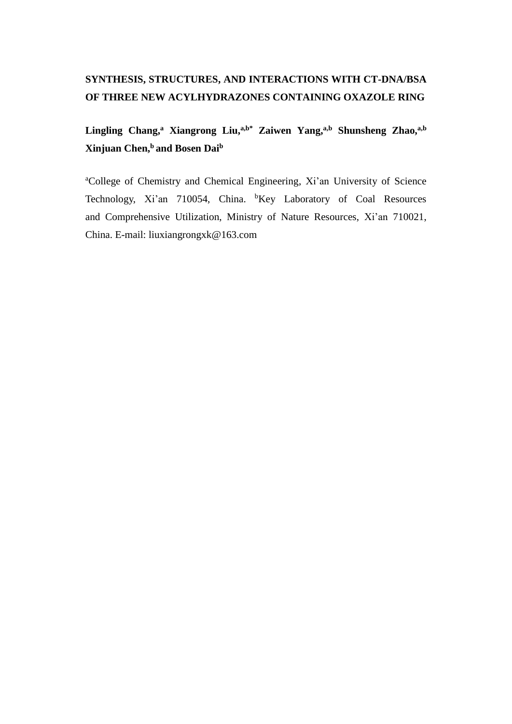## **SYNTHESIS, STRUCTURES, AND INTERACTIONS WITH CT-DNA/BSA OF THREE NEW ACYLHYDRAZONES CONTAINING OXAZOLE RING**

**Lingling Chang,<sup>a</sup> Xiangrong Liu,a,b\* Zaiwen Yang,a,b Shunsheng Zhao,a,b Xinjuan Chen,<sup>b</sup> and Bosen Dai<sup>b</sup>**

<sup>a</sup>College of Chemistry and Chemical Engineering, Xi'an University of Science Technology, Xi'an 710054, China. <sup>b</sup>Key Laboratory of Coal Resources and Comprehensive Utilization, Ministry of Nature Resources, Xi'an 710021, China. E-mail: liuxiangrongxk@163.com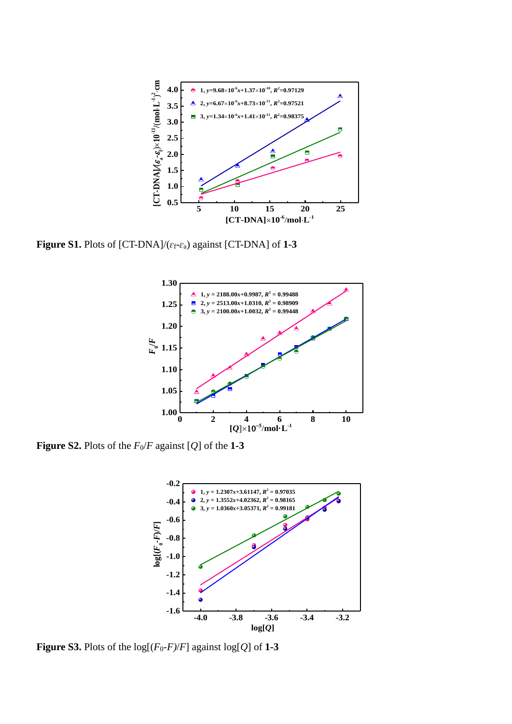

**Figure S1.** Plots of [CT-DNA]/(*ɛ*f-*ɛ*a) against [CT-DNA] of **1-3**



**Figure S2.** Plots of the  $F_0/F$  against [*Q*] of the 1-3



**Figure S3.** Plots of the  $log[(F_0-F)/F]$  against  $log[Q]$  of 1-3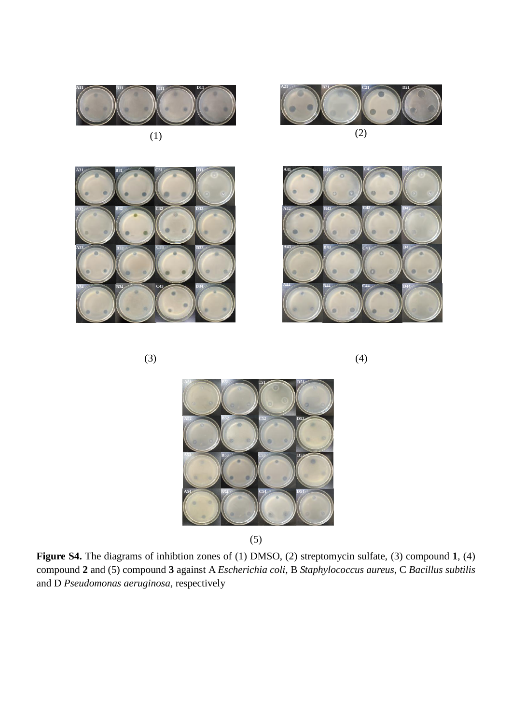



(1)

**C1**

**C31**

**C33**

**C43**

**C32 D32**

**D33**

**D34**

A31 **B31 C31 D31** 

**B31** 

**B31**

**B33**

**B32**

**B34**



 $(3)$  (4)

**A3**

**A33**

**A34**

**A32**



(5)

**Figure S4.** The diagrams of inhibtion zones of (1) DMSO, (2) streptomycin sulfate, (3) compound **1**, (4) compound **2** and (5) compound **3** against A *Escherichia coli,* B *Staphylococcus aureus*, C *Bacillus subtilis* and D *Pseudomonas aeruginosa*, respectively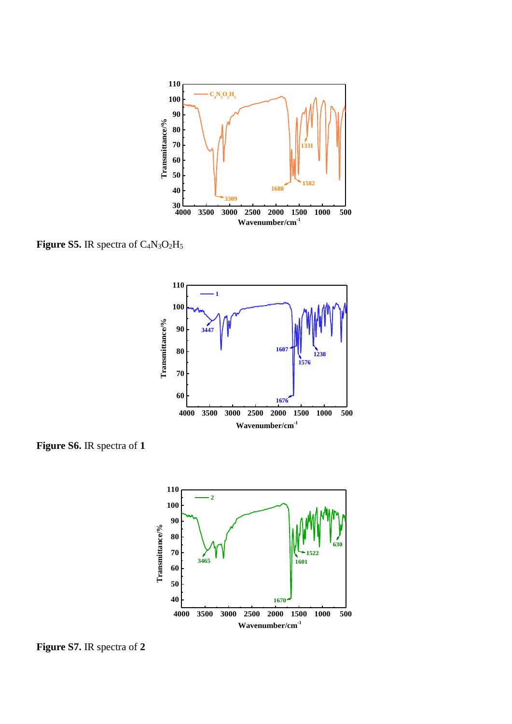

**Figure S5.** IR spectra of C4N3O2H<sup>5</sup>



**Figure S6.** IR spectra of **1**



**Figure S7.** IR spectra of **2**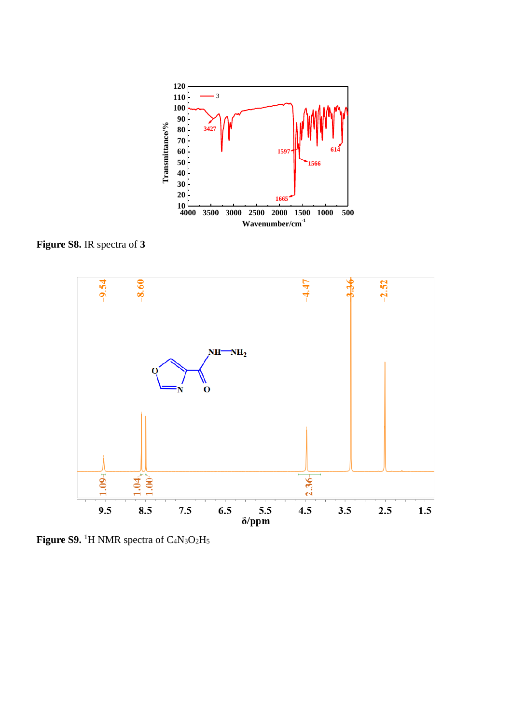

**Figure S8.** IR spectra of **3**



**Figure S9.** <sup>1</sup>H NMR spectra of C4N3O2H5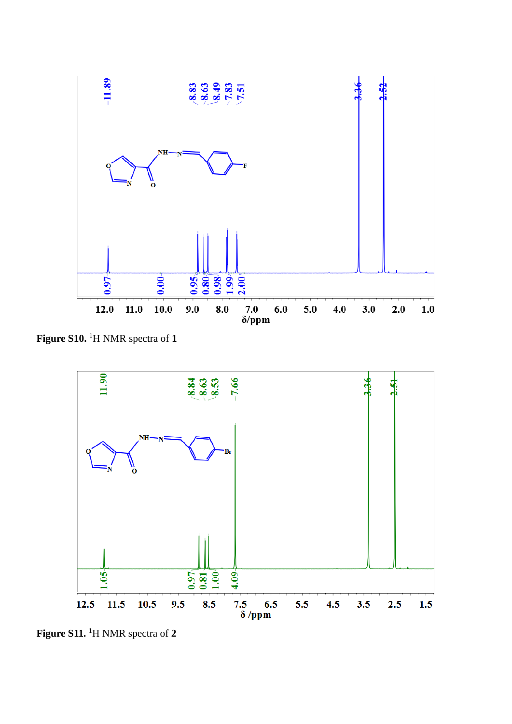

**Figure S10.** <sup>1</sup>H NMR spectra of **1**



**Figure S11.** <sup>1</sup>H NMR spectra of **2**